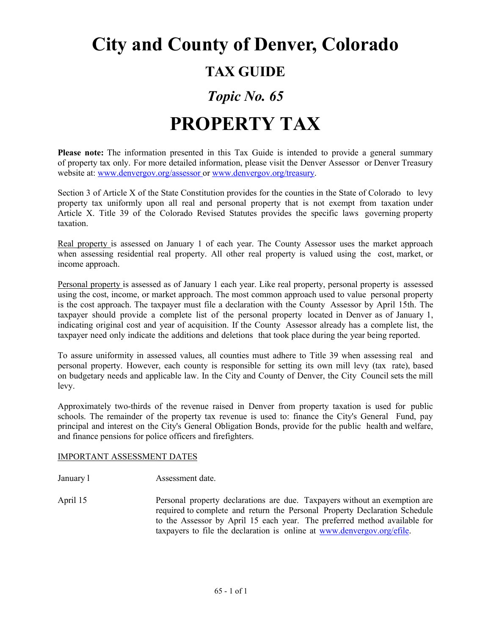# **City and County of Denver, Colorado TAX GUIDE**

### *Topic No. 65*

## **PROPERTY TAX**

**Please note:** The information presented in this Tax Guide is intended to provide a general summary of property tax only. For more detailed information, please visit the Denver Assessor or Denver Treasury website at: [www.denvergov.org/assessor o](http://www.denvergov.org/assessor)r [www.denvergov.org/treasury.](http://www.denvergov.org/treasury)

Section 3 of Article X of the State Constitution provides for the counties in the State of Colorado to levy property tax uniformly upon all real and personal property that is not exempt from taxation under Article X. Title 39 of the Colorado Revised Statutes provides the specific laws governing property taxation.

Real property is assessed on January 1 of each year. The County Assessor uses the market approach when assessing residential real property. All other real property is valued using the cost, market, or income approach.

Personal property is assessed as of January 1 each year. Like real property, personal property is assessed using the cost, income, or market approach. The most common approach used to value personal property is the cost approach. The taxpayer must file a declaration with the County Assessor by April 15th. The taxpayer should provide a complete list of the personal property located in Denver as of January 1, indicating original cost and year of acquisition. If the County Assessor already has a complete list, the taxpayer need only indicate the additions and deletions that took place during the year being reported.

To assure uniformity in assessed values, all counties must adhere to Title 39 when assessing real and personal property. However, each county is responsible for setting its own mill levy (tax rate), based on budgetary needs and applicable law. In the City and County of Denver, the City Council sets the mill levy.

Approximately two-thirds of the revenue raised in Denver from property taxation is used for public schools. The remainder of the property tax revenue is used to: finance the City's General Fund, pay principal and interest on the City's General Obligation Bonds, provide for the public health and welfare, and finance pensions for police officers and firefighters.

#### IMPORTANT ASSESSMENT DATES

January 1 **Assessment date.** 

April 15 Personal property declarations are due. Taxpayers without an exemption are required to complete and return the Personal Property Declaration Schedule to the Assessor by April 15 each year. The preferred method available for taxpayers to file the declaration is online at [www.denvergov.org/efile.](http://www.denvergov.org/efile)